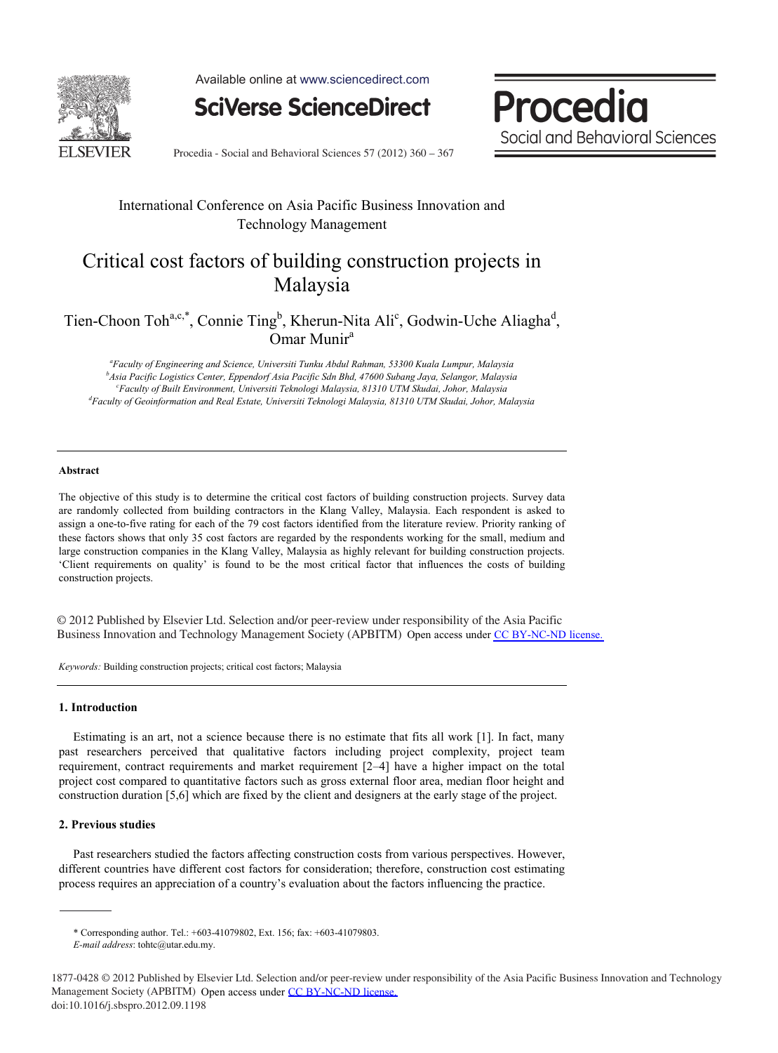

Available online at www.sciencedirect.com

**SciVerse ScienceDirect** 

Procedia Social and Behavioral Sciences

Procedia - Social and Behavioral Sciences 57 (2012) 360 – 367

### International Conference on Asia Pacific Business Innovation and Technology Management

## Critical cost factors of building construction projects in Malaysia

## Tien-Choon Toh<sup>a,c,\*</sup>, Connie Ting<sup>b</sup>, Kherun-Nita Ali<sup>c</sup>, Godwin-Uche Aliagha<sup>d</sup>, Omar Munir<sup>a</sup>

*a Faculty of Engineering and Science, Universiti Tunku Abdul Rahman, 53300 Kuala Lumpur, Malaysia b Asia Pacific Logistics Center, Eppendorf Asia Pacific Sdn Bhd, 47600 Subang Jaya, Selangor, Malaysia c Faculty of Built Environment, Universiti Teknologi Malaysia, 81310 UTM Skudai, Johor, Malaysia d Faculty of Geoinformation and Real Estate, Universiti Teknologi Malaysia, 81310 UTM Skudai, Johor, Malaysia* 

#### **Abstract**

The objective of this study is to determine the critical cost factors of building construction projects. Survey data are randomly collected from building contractors in the Klang Valley, Malaysia. Each respondent is asked to assign a one-to-five rating for each of the 79 cost factors identified from the literature review. Priority ranking of these factors shows that only 35 cost factors are regarded by the respondents working for the small, medium and large construction companies in the Klang Valley, Malaysia as highly relevant for building construction projects. 'Client requirements on quality' is found to be the most critical factor that influences the costs of building construction projects.

© 2012 Published by Elsevier Ltd. Selection and/or peer-review under responsibility of the Asia © 2012 Published by Elsevier Ltd. Selection and/or peer-review under responsibility of the Asia Pacific Business Innovation and Technology Management Society (APBITM) Open access under [CC BY-NC-ND license.](http://creativecommons.org/licenses/by-nc-nd/3.0/)

*Keywords:* Building construction projects; critical cost factors; Malaysia

#### **1. Introduction**

Estimating is an art, not a science because there is no estimate that fits all work [1]. In fact, many past researchers perceived that qualitative factors including project complexity, project team requirement, contract requirements and market requirement [2–4] have a higher impact on the total project cost compared to quantitative factors such as gross external floor area, median floor height and construction duration [5,6] which are fixed by the client and designers at the early stage of the project.

#### **2. Previous studies**

Past researchers studied the factors affecting construction costs from various perspectives. However, different countries have different cost factors for consideration; therefore, construction cost estimating process requires an appreciation of a country's evaluation about the factors influencing the practice.

<sup>\*</sup> Corresponding author. Tel.: +603-41079802, Ext. 156; fax: +603-41079803.

*E-mail address*: tohtc@utar.edu.my.

<sup>1877-0428 © 2012</sup> Published by Elsevier Ltd. Selection and/or peer-review under responsibility of the Asia Pacific Business Innovation and Technology Management Society (APBITM) Open access under [CC BY-NC-ND license.](http://creativecommons.org/licenses/by-nc-nd/3.0/)doi: 10.1016/j.sbspro.2012.09.1198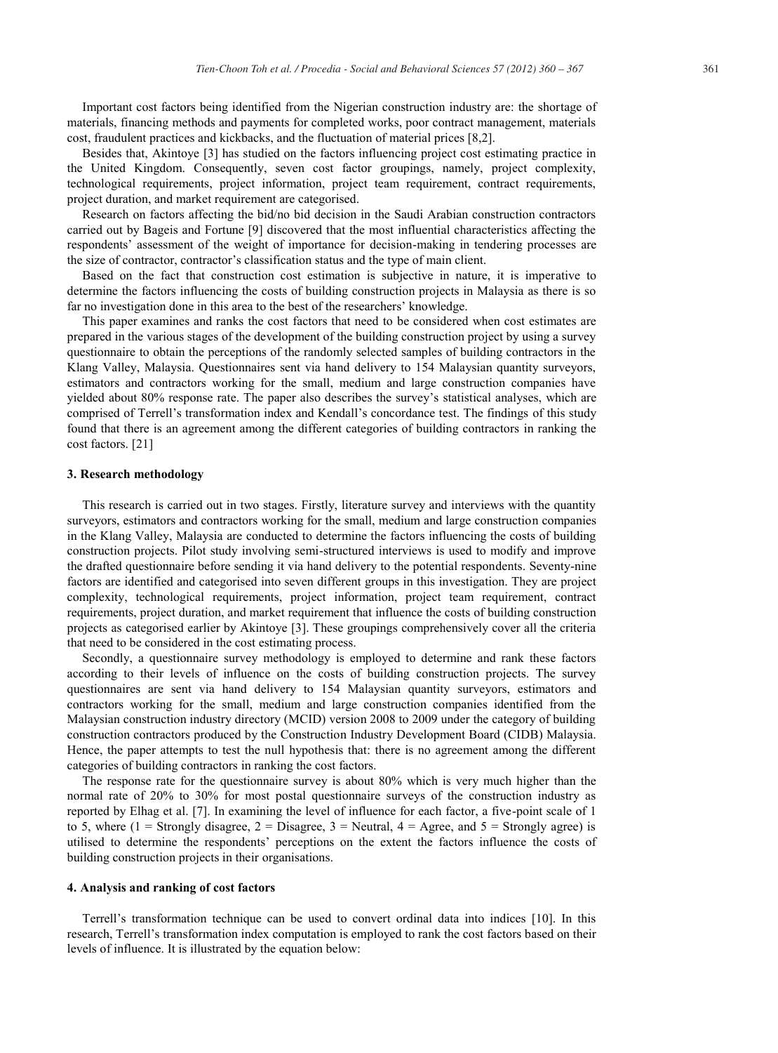Important cost factors being identified from the Nigerian construction industry are: the shortage of materials, financing methods and payments for completed works, poor contract management, materials cost, fraudulent practices and kickbacks, and the fluctuation of material prices [8,2].

Besides that, Akintoye [3] has studied on the factors influencing project cost estimating practice in the United Kingdom. Consequently, seven cost factor groupings, namely, project complexity, technological requirements, project information, project team requirement, contract requirements, project duration, and market requirement are categorised.

Research on factors affecting the bid/no bid decision in the Saudi Arabian construction contractors carried out by Bageis and Fortune [9] discovered that the most influential characteristics affecting the respondents' assessment of the weight of importance for decision-making in tendering processes are the size of contractor, contractor's classification status and the type of main client.

Based on the fact that construction cost estimation is subjective in nature, it is imperative to determine the factors influencing the costs of building construction projects in Malaysia as there is so far no investigation done in this area to the best of the researchers' knowledge.

This paper examines and ranks the cost factors that need to be considered when cost estimates are prepared in the various stages of the development of the building construction project by using a survey questionnaire to obtain the perceptions of the randomly selected samples of building contractors in the Klang Valley, Malaysia. Questionnaires sent via hand delivery to 154 Malaysian quantity surveyors, estimators and contractors working for the small, medium and large construction companies have yielded about 80% response rate. The paper also describes the survey's statistical analyses, which are comprised of Terrell's transformation index and Kendall's concordance test. The findings of this study found that there is an agreement among the different categories of building contractors in ranking the cost factors. [21]

#### **3. Research methodology**

This research is carried out in two stages. Firstly, literature survey and interviews with the quantity surveyors, estimators and contractors working for the small, medium and large construction companies in the Klang Valley, Malaysia are conducted to determine the factors influencing the costs of building construction projects. Pilot study involving semi-structured interviews is used to modify and improve the drafted questionnaire before sending it via hand delivery to the potential respondents. Seventy-nine factors are identified and categorised into seven different groups in this investigation. They are project complexity, technological requirements, project information, project team requirement, contract requirements, project duration, and market requirement that influence the costs of building construction projects as categorised earlier by Akintoye [3]. These groupings comprehensively cover all the criteria that need to be considered in the cost estimating process.

Secondly, a questionnaire survey methodology is employed to determine and rank these factors according to their levels of influence on the costs of building construction projects. The survey questionnaires are sent via hand delivery to 154 Malaysian quantity surveyors, estimators and contractors working for the small, medium and large construction companies identified from the Malaysian construction industry directory (MCID) version 2008 to 2009 under the category of building construction contractors produced by the Construction Industry Development Board (CIDB) Malaysia. Hence, the paper attempts to test the null hypothesis that: there is no agreement among the different categories of building contractors in ranking the cost factors.

The response rate for the questionnaire survey is about 80% which is very much higher than the normal rate of 20% to 30% for most postal questionnaire surveys of the construction industry as reported by Elhag et al. [7]. In examining the level of influence for each factor, a five-point scale of 1 to 5, where  $(1 -$  Strongly disagree,  $2 -$  Disagree,  $3 -$  Neutral,  $4 -$  Agree, and  $5 -$  Strongly agree) is utilised to determine the respondents' perceptions on the extent the factors influence the costs of building construction projects in their organisations.

#### **4. Analysis and ranking of cost factors**

Terrell's transformation technique can be used to convert ordinal data into indices [10]. In this research, Terrell's transformation index computation is employed to rank the cost factors based on their levels of influence. It is illustrated by the equation below: